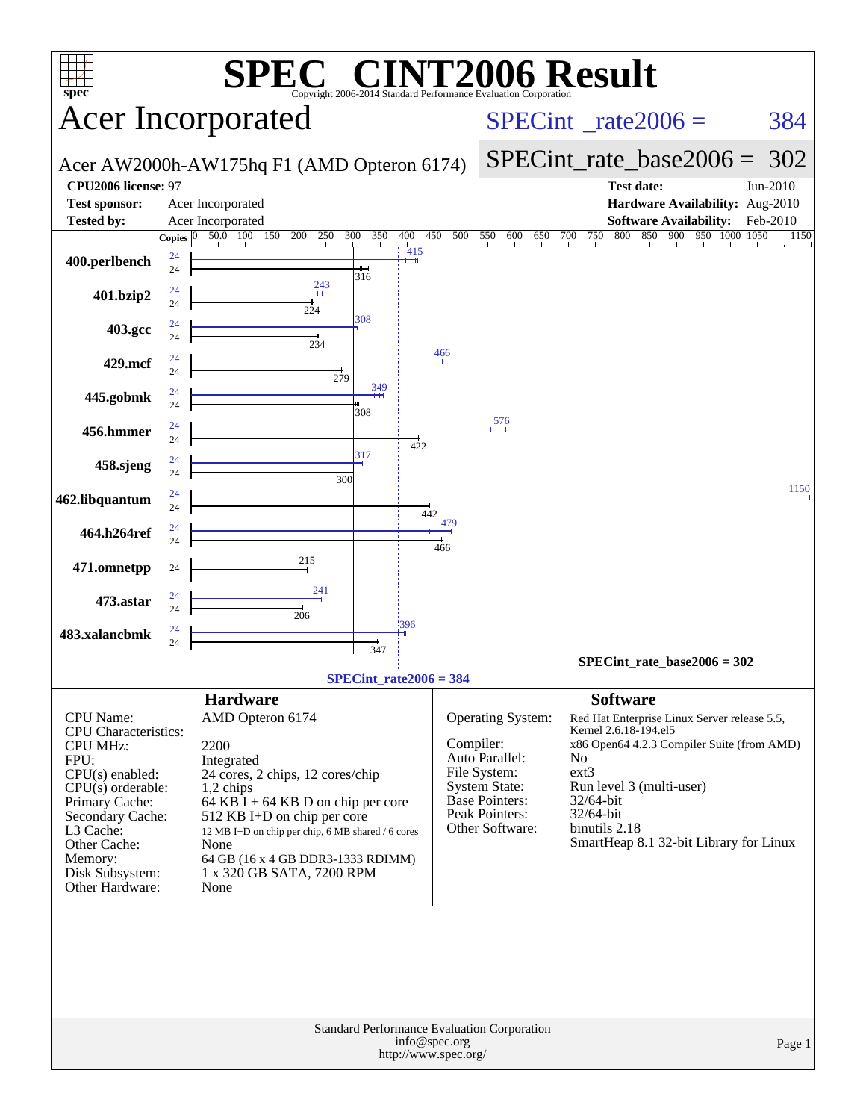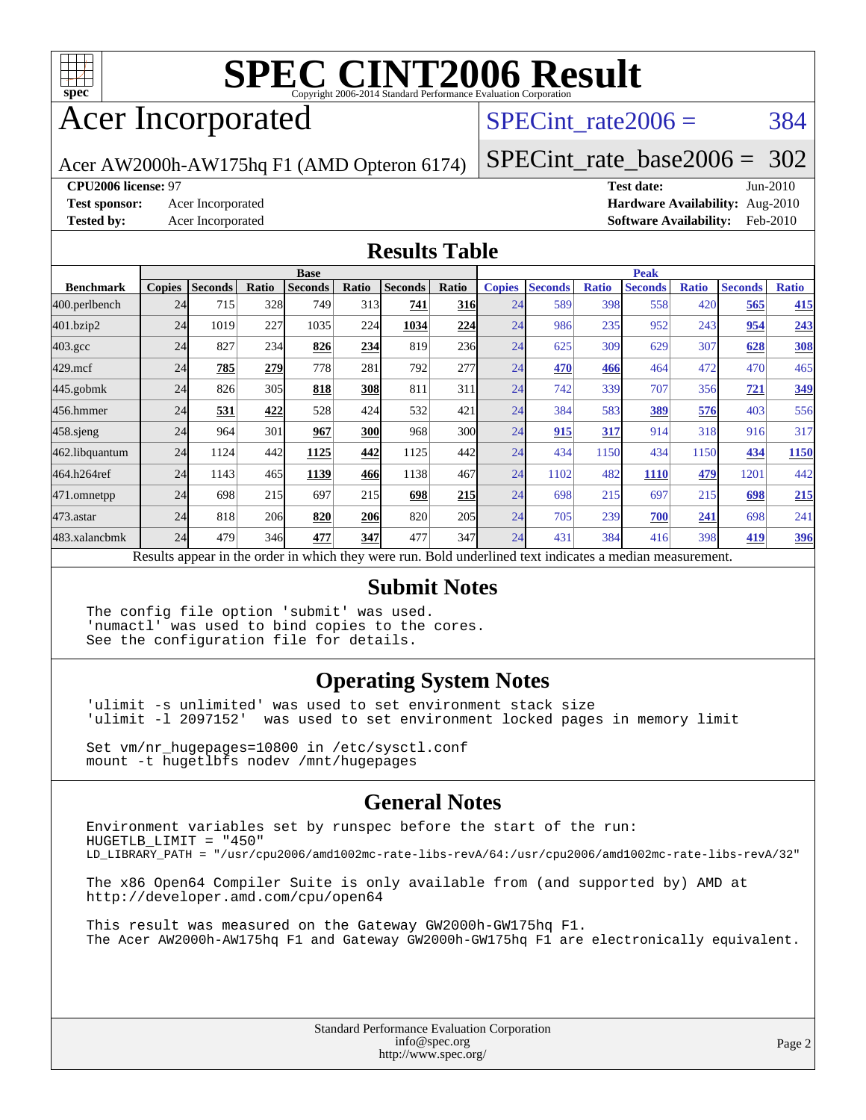

### Acer Incorporated

#### SPECint rate $2006 = 384$

Acer AW2000h-AW175hq F1 (AMD Opteron 6174)

[SPECint\\_rate\\_base2006 =](http://www.spec.org/auto/cpu2006/Docs/result-fields.html#SPECintratebase2006) 302

#### **[CPU2006 license:](http://www.spec.org/auto/cpu2006/Docs/result-fields.html#CPU2006license)** 97 **[Test date:](http://www.spec.org/auto/cpu2006/Docs/result-fields.html#Testdate)** Jun-2010

**[Test sponsor:](http://www.spec.org/auto/cpu2006/Docs/result-fields.html#Testsponsor)** Acer Incorporated **[Hardware Availability:](http://www.spec.org/auto/cpu2006/Docs/result-fields.html#HardwareAvailability)** Aug-2010 **[Tested by:](http://www.spec.org/auto/cpu2006/Docs/result-fields.html#Testedby)** Acer Incorporated **[Software Availability:](http://www.spec.org/auto/cpu2006/Docs/result-fields.html#SoftwareAvailability)** Feb-2010

#### **[Results Table](http://www.spec.org/auto/cpu2006/Docs/result-fields.html#ResultsTable)**

|                    |               |                |       | <b>Base</b>                                                                                              |            |                |            |               |                |              | <b>Peak</b>    |              |                |              |
|--------------------|---------------|----------------|-------|----------------------------------------------------------------------------------------------------------|------------|----------------|------------|---------------|----------------|--------------|----------------|--------------|----------------|--------------|
| <b>Benchmark</b>   | <b>Copies</b> | <b>Seconds</b> | Ratio | <b>Seconds</b>                                                                                           | Ratio      | <b>Seconds</b> | Ratio      | <b>Copies</b> | <b>Seconds</b> | <b>Ratio</b> | <b>Seconds</b> | <b>Ratio</b> | <b>Seconds</b> | <b>Ratio</b> |
| 400.perlbench      | 24            | 715            | 328   | 749                                                                                                      | 313        | 741            | <b>316</b> | 24            | 589            | 398          | 558            | 420          | 565            | 415          |
| 401.bzip2          | 24            | 1019           | 227   | 1035                                                                                                     | 224        | 1034           | 224        | 24            | 986            | 235          | 952            | 243          | 954            | 243          |
| $403.\mathrm{gcc}$ | 24            | 827            | 234   | 826                                                                                                      | 234        | 819            | 236        | 24            | 625            | 309          | 629            | 307          | 628            | <b>308</b>   |
| $429$ .mcf         | 24            | 785            | 279   | 778                                                                                                      | 281        | 792            | 277        | 24            | 470            | 466          | 464            | 472          | 470            | 465          |
| $445$ .gobmk       | 24            | 826            | 305   | 818                                                                                                      | 308        | 811            | 311        | 24            | 742            | 339          | 707            | 356          | 721            | 349          |
| 456.hmmer          | 24            | 531            | 422   | 528                                                                                                      | 424        | 532            | 421        | 24            | 384            | 583          | 389            | 576          | 403            | 556          |
| $458$ .sjeng       | 24            | 964            | 301   | 967                                                                                                      | <b>300</b> | 968            | 300l       | 24            | 915            | 317          | 914            | 318          | 916            | 317          |
| 462.libquantum     | 24            | 1124           | 442   | 1125                                                                                                     | 442        | 1125           | 442        | 24            | 434            | 1150         | 434            | 1150         | 434            | 1150         |
| 464.h264ref        | 24            | 1143           | 465   | 1139                                                                                                     | 466        | 1138           | 467        | 24            | 1102           | 482          | 1110           | 479          | 1201           | 442          |
| 471.omnetpp        | 24            | 698            | 215   | 697                                                                                                      | 215        | 698            | <b>215</b> | 24            | 698            | 215          | 697            | 215          | 698            | 215          |
| $473$ . astar      | 24            | 818            | 206   | 820                                                                                                      | 206        | 820            | 205        | 24            | 705            | 239          | 700            | 241          | 698            | 241          |
| 483.xalancbmk      | 24            | 479            | 346   | 477                                                                                                      | 347        | 477            | 347        | 24            | 431            | 384          | 416            | 398          | 419            | 396          |
|                    |               |                |       | Results appear in the order in which they were run. Bold underlined text indicates a median measurement. |            |                |            |               |                |              |                |              |                |              |

#### **[Submit Notes](http://www.spec.org/auto/cpu2006/Docs/result-fields.html#SubmitNotes)**

The config file option 'submit' was used. 'numactl' was used to bind copies to the cores. See the configuration file for details.

#### **[Operating System Notes](http://www.spec.org/auto/cpu2006/Docs/result-fields.html#OperatingSystemNotes)**

'ulimit -s unlimited' was used to set environment stack size 'ulimit -l 2097152' was used to set environment locked pages in memory limit

Set vm/nr\_hugepages=10800 in /etc/sysctl.conf mount -t hugetlbfs nodev /mnt/hugepages

#### **[General Notes](http://www.spec.org/auto/cpu2006/Docs/result-fields.html#GeneralNotes)**

Environment variables set by runspec before the start of the run: HUGETLB\_LIMIT = "450" LD\_LIBRARY\_PATH = "/usr/cpu2006/amd1002mc-rate-libs-revA/64:/usr/cpu2006/amd1002mc-rate-libs-revA/32"

The x86 Open64 Compiler Suite is only available from (and supported by) AMD at <http://developer.amd.com/cpu/open64>

This result was measured on the Gateway GW2000h-GW175hq F1. The Acer AW2000h-AW175hq F1 and Gateway GW2000h-GW175hq F1 are electronically equivalent.

> Standard Performance Evaluation Corporation [info@spec.org](mailto:info@spec.org) <http://www.spec.org/>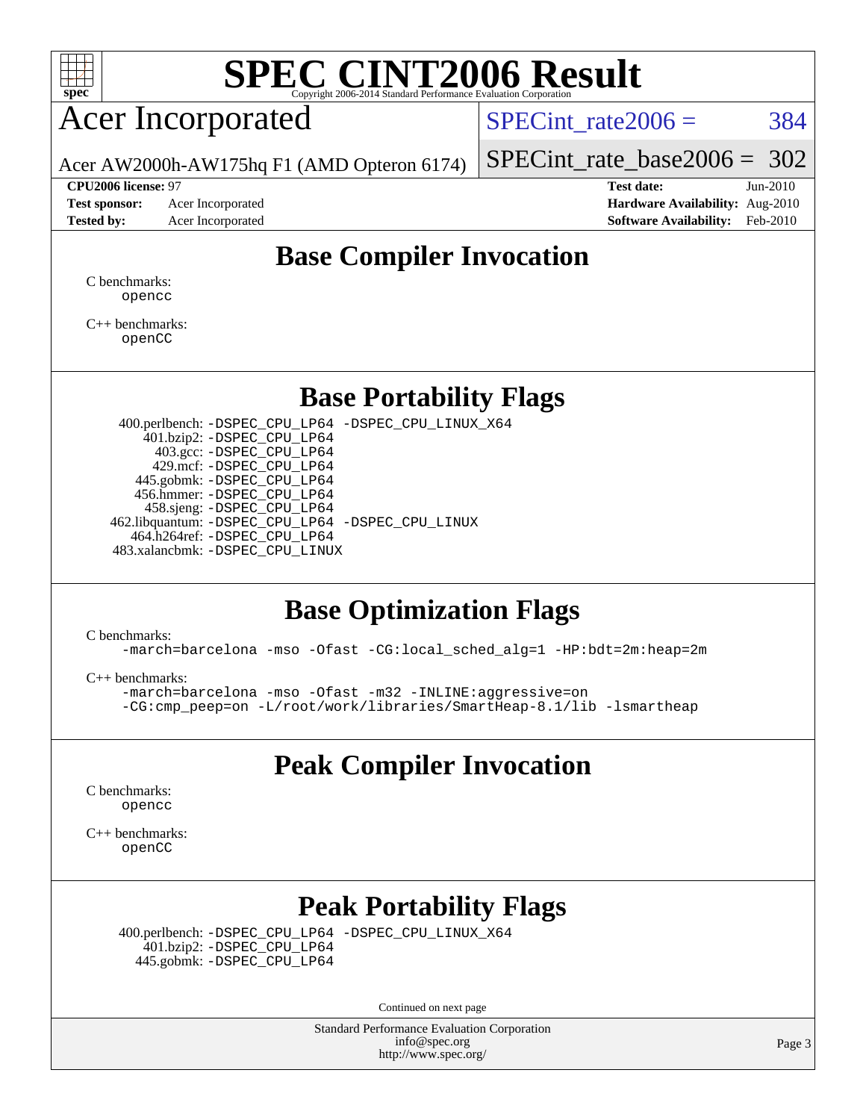

### Acer Incorporated

SPECint rate $2006 = 384$ 

[SPECint\\_rate\\_base2006 =](http://www.spec.org/auto/cpu2006/Docs/result-fields.html#SPECintratebase2006) 302

Acer AW2000h-AW175hq F1 (AMD Opteron 6174)

**[Tested by:](http://www.spec.org/auto/cpu2006/Docs/result-fields.html#Testedby)** Acer Incorporated **[Software Availability:](http://www.spec.org/auto/cpu2006/Docs/result-fields.html#SoftwareAvailability)** Feb-2010

**[CPU2006 license:](http://www.spec.org/auto/cpu2006/Docs/result-fields.html#CPU2006license)** 97 **[Test date:](http://www.spec.org/auto/cpu2006/Docs/result-fields.html#Testdate)** Jun-2010 **[Test sponsor:](http://www.spec.org/auto/cpu2006/Docs/result-fields.html#Testsponsor)** Acer Incorporated **[Hardware Availability:](http://www.spec.org/auto/cpu2006/Docs/result-fields.html#HardwareAvailability)** Aug-2010

#### **[Base Compiler Invocation](http://www.spec.org/auto/cpu2006/Docs/result-fields.html#BaseCompilerInvocation)**

[C benchmarks](http://www.spec.org/auto/cpu2006/Docs/result-fields.html#Cbenchmarks): [opencc](http://www.spec.org/cpu2006/results/res2010q3/cpu2006-20100706-12354.flags.html#user_CCbase_Fopencc)

[C++ benchmarks:](http://www.spec.org/auto/cpu2006/Docs/result-fields.html#CXXbenchmarks) [openCC](http://www.spec.org/cpu2006/results/res2010q3/cpu2006-20100706-12354.flags.html#user_CXXbase_FopenCC)

#### **[Base Portability Flags](http://www.spec.org/auto/cpu2006/Docs/result-fields.html#BasePortabilityFlags)**

 400.perlbench: [-DSPEC\\_CPU\\_LP64](http://www.spec.org/cpu2006/results/res2010q3/cpu2006-20100706-12354.flags.html#b400.perlbench_basePORTABILITY_DSPEC_CPU_LP64) [-DSPEC\\_CPU\\_LINUX\\_X64](http://www.spec.org/cpu2006/results/res2010q3/cpu2006-20100706-12354.flags.html#b400.perlbench_baseCPORTABILITY_DSPEC_CPU_LINUX_X64) 401.bzip2: [-DSPEC\\_CPU\\_LP64](http://www.spec.org/cpu2006/results/res2010q3/cpu2006-20100706-12354.flags.html#suite_basePORTABILITY401_bzip2_DSPEC_CPU_LP64) 403.gcc: [-DSPEC\\_CPU\\_LP64](http://www.spec.org/cpu2006/results/res2010q3/cpu2006-20100706-12354.flags.html#suite_basePORTABILITY403_gcc_DSPEC_CPU_LP64) 429.mcf: [-DSPEC\\_CPU\\_LP64](http://www.spec.org/cpu2006/results/res2010q3/cpu2006-20100706-12354.flags.html#suite_basePORTABILITY429_mcf_DSPEC_CPU_LP64) 445.gobmk: [-DSPEC\\_CPU\\_LP64](http://www.spec.org/cpu2006/results/res2010q3/cpu2006-20100706-12354.flags.html#suite_basePORTABILITY445_gobmk_DSPEC_CPU_LP64) 456.hmmer: [-DSPEC\\_CPU\\_LP64](http://www.spec.org/cpu2006/results/res2010q3/cpu2006-20100706-12354.flags.html#suite_basePORTABILITY456_hmmer_DSPEC_CPU_LP64) 458.sjeng: [-DSPEC\\_CPU\\_LP64](http://www.spec.org/cpu2006/results/res2010q3/cpu2006-20100706-12354.flags.html#suite_basePORTABILITY458_sjeng_DSPEC_CPU_LP64) 462.libquantum: [-DSPEC\\_CPU\\_LP64](http://www.spec.org/cpu2006/results/res2010q3/cpu2006-20100706-12354.flags.html#suite_basePORTABILITY462_libquantum_DSPEC_CPU_LP64) [-DSPEC\\_CPU\\_LINUX](http://www.spec.org/cpu2006/results/res2010q3/cpu2006-20100706-12354.flags.html#b462.libquantum_baseCPORTABILITY_DSPEC_CPU_LINUX) 464.h264ref: [-DSPEC\\_CPU\\_LP64](http://www.spec.org/cpu2006/results/res2010q3/cpu2006-20100706-12354.flags.html#suite_basePORTABILITY464_h264ref_DSPEC_CPU_LP64) 483.xalancbmk: [-DSPEC\\_CPU\\_LINUX](http://www.spec.org/cpu2006/results/res2010q3/cpu2006-20100706-12354.flags.html#b483.xalancbmk_baseCXXPORTABILITY_DSPEC_CPU_LINUX)

#### **[Base Optimization Flags](http://www.spec.org/auto/cpu2006/Docs/result-fields.html#BaseOptimizationFlags)**

[C benchmarks](http://www.spec.org/auto/cpu2006/Docs/result-fields.html#Cbenchmarks):

[-march=barcelona](http://www.spec.org/cpu2006/results/res2010q3/cpu2006-20100706-12354.flags.html#user_CCbase_F-march_8ea39521cada96f307a04d0b8b9c6ffb) [-mso](http://www.spec.org/cpu2006/results/res2010q3/cpu2006-20100706-12354.flags.html#user_CCbase_F-mso) [-Ofast](http://www.spec.org/cpu2006/results/res2010q3/cpu2006-20100706-12354.flags.html#user_CCbase_F-Ofast) [-CG:local\\_sched\\_alg=1](http://www.spec.org/cpu2006/results/res2010q3/cpu2006-20100706-12354.flags.html#user_CCbase_F-CG:local_sched_alg_2175ca61f1a2717f1ec57b14995b9e7a) [-HP:bdt=2m:heap=2m](http://www.spec.org/cpu2006/results/res2010q3/cpu2006-20100706-12354.flags.html#user_CCbase_F-HUGEPAGE_855e97383b49831f390a2af16fe7202f)

[C++ benchmarks:](http://www.spec.org/auto/cpu2006/Docs/result-fields.html#CXXbenchmarks)

[-march=barcelona](http://www.spec.org/cpu2006/results/res2010q3/cpu2006-20100706-12354.flags.html#user_CXXbase_F-march_8ea39521cada96f307a04d0b8b9c6ffb) [-mso](http://www.spec.org/cpu2006/results/res2010q3/cpu2006-20100706-12354.flags.html#user_CXXbase_F-mso) [-Ofast](http://www.spec.org/cpu2006/results/res2010q3/cpu2006-20100706-12354.flags.html#user_CXXbase_F-Ofast) [-m32](http://www.spec.org/cpu2006/results/res2010q3/cpu2006-20100706-12354.flags.html#user_CXXbase_F-m32) [-INLINE:aggressive=on](http://www.spec.org/cpu2006/results/res2010q3/cpu2006-20100706-12354.flags.html#user_CXXbase_F-INLINE:aggressive_e14807c0a1e56a6a83cb25ab07c7ae8a) [-CG:cmp\\_peep=on](http://www.spec.org/cpu2006/results/res2010q3/cpu2006-20100706-12354.flags.html#user_CXXbase_F-CG:cmp_peep_ab90c979e95bee1f1f617a32622424ed) [-L/root/work/libraries/SmartHeap-8.1/lib -lsmartheap](http://www.spec.org/cpu2006/results/res2010q3/cpu2006-20100706-12354.flags.html#user_CXXbase_F-L_lib_directory_lsmartheap_9ab549d8336b8b0ffe7b94e3ae706265)

#### **[Peak Compiler Invocation](http://www.spec.org/auto/cpu2006/Docs/result-fields.html#PeakCompilerInvocation)**

[C benchmarks](http://www.spec.org/auto/cpu2006/Docs/result-fields.html#Cbenchmarks): [opencc](http://www.spec.org/cpu2006/results/res2010q3/cpu2006-20100706-12354.flags.html#user_CCpeak_Fopencc)

[C++ benchmarks:](http://www.spec.org/auto/cpu2006/Docs/result-fields.html#CXXbenchmarks) [openCC](http://www.spec.org/cpu2006/results/res2010q3/cpu2006-20100706-12354.flags.html#user_CXXpeak_FopenCC)

### **[Peak Portability Flags](http://www.spec.org/auto/cpu2006/Docs/result-fields.html#PeakPortabilityFlags)**

 400.perlbench: [-DSPEC\\_CPU\\_LP64](http://www.spec.org/cpu2006/results/res2010q3/cpu2006-20100706-12354.flags.html#b400.perlbench_peakPORTABILITY_DSPEC_CPU_LP64) [-DSPEC\\_CPU\\_LINUX\\_X64](http://www.spec.org/cpu2006/results/res2010q3/cpu2006-20100706-12354.flags.html#b400.perlbench_peakCPORTABILITY_DSPEC_CPU_LINUX_X64) 401.bzip2: [-DSPEC\\_CPU\\_LP64](http://www.spec.org/cpu2006/results/res2010q3/cpu2006-20100706-12354.flags.html#suite_peakPORTABILITY401_bzip2_DSPEC_CPU_LP64) 445.gobmk: [-DSPEC\\_CPU\\_LP64](http://www.spec.org/cpu2006/results/res2010q3/cpu2006-20100706-12354.flags.html#suite_peakPORTABILITY445_gobmk_DSPEC_CPU_LP64)

Continued on next page

Standard Performance Evaluation Corporation [info@spec.org](mailto:info@spec.org) <http://www.spec.org/>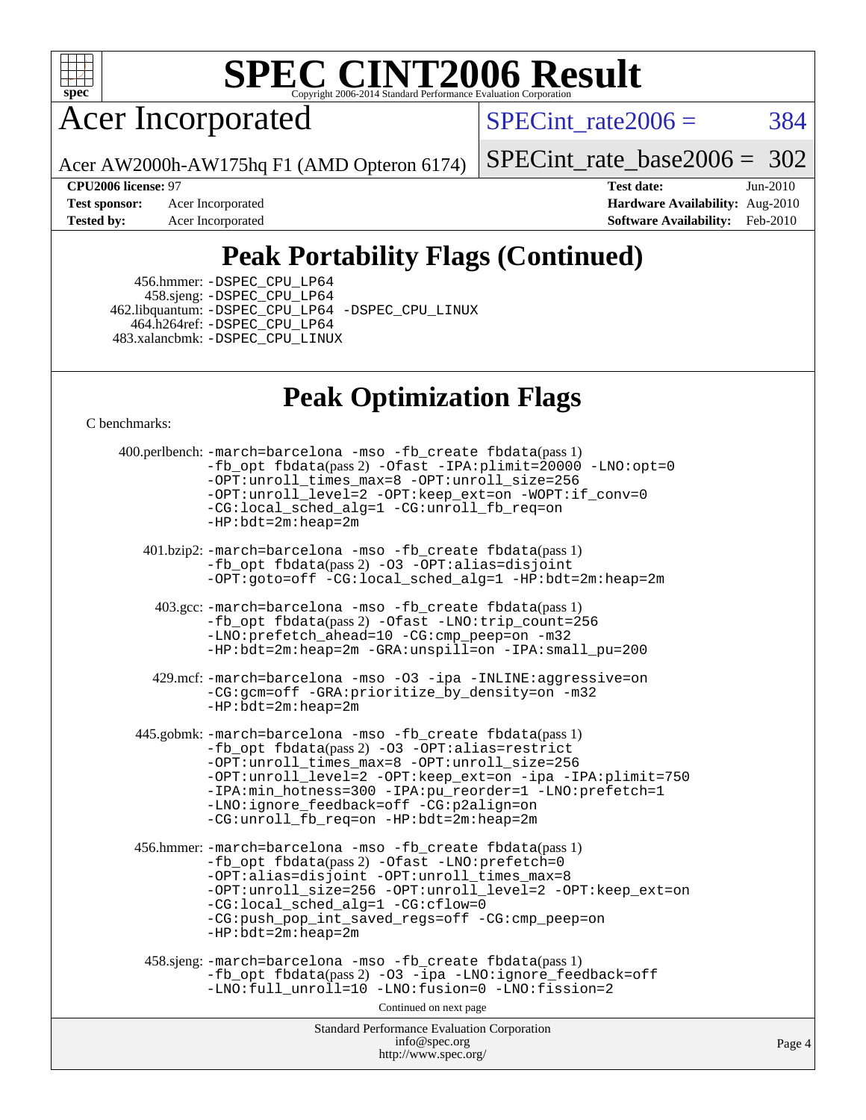

Acer Incorporated

 $SPECTnt_rate2006 = 384$ 

[SPECint\\_rate\\_base2006 =](http://www.spec.org/auto/cpu2006/Docs/result-fields.html#SPECintratebase2006) 302

**[CPU2006 license:](http://www.spec.org/auto/cpu2006/Docs/result-fields.html#CPU2006license)** 97 **[Test date:](http://www.spec.org/auto/cpu2006/Docs/result-fields.html#Testdate)** Jun-2010 **[Test sponsor:](http://www.spec.org/auto/cpu2006/Docs/result-fields.html#Testsponsor)** Acer Incorporated **[Hardware Availability:](http://www.spec.org/auto/cpu2006/Docs/result-fields.html#HardwareAvailability)** Aug-2010 **[Tested by:](http://www.spec.org/auto/cpu2006/Docs/result-fields.html#Testedby)** Acer Incorporated **[Software Availability:](http://www.spec.org/auto/cpu2006/Docs/result-fields.html#SoftwareAvailability)** Feb-2010

### **[Peak Portability Flags \(Continued\)](http://www.spec.org/auto/cpu2006/Docs/result-fields.html#PeakPortabilityFlags)**

 456.hmmer: [-DSPEC\\_CPU\\_LP64](http://www.spec.org/cpu2006/results/res2010q3/cpu2006-20100706-12354.flags.html#suite_peakPORTABILITY456_hmmer_DSPEC_CPU_LP64) 458.sjeng: [-DSPEC\\_CPU\\_LP64](http://www.spec.org/cpu2006/results/res2010q3/cpu2006-20100706-12354.flags.html#suite_peakPORTABILITY458_sjeng_DSPEC_CPU_LP64) 462.libquantum: [-DSPEC\\_CPU\\_LP64](http://www.spec.org/cpu2006/results/res2010q3/cpu2006-20100706-12354.flags.html#suite_peakPORTABILITY462_libquantum_DSPEC_CPU_LP64) [-DSPEC\\_CPU\\_LINUX](http://www.spec.org/cpu2006/results/res2010q3/cpu2006-20100706-12354.flags.html#b462.libquantum_peakCPORTABILITY_DSPEC_CPU_LINUX) 464.h264ref: [-DSPEC\\_CPU\\_LP64](http://www.spec.org/cpu2006/results/res2010q3/cpu2006-20100706-12354.flags.html#suite_peakPORTABILITY464_h264ref_DSPEC_CPU_LP64) 483.xalancbmk: [-DSPEC\\_CPU\\_LINUX](http://www.spec.org/cpu2006/results/res2010q3/cpu2006-20100706-12354.flags.html#b483.xalancbmk_peakCXXPORTABILITY_DSPEC_CPU_LINUX)

Acer AW2000h-AW175hq F1 (AMD Opteron 6174)

#### **[Peak Optimization Flags](http://www.spec.org/auto/cpu2006/Docs/result-fields.html#PeakOptimizationFlags)**

[C benchmarks](http://www.spec.org/auto/cpu2006/Docs/result-fields.html#Cbenchmarks):

Standard Performance Evaluation Corporation [info@spec.org](mailto:info@spec.org) <http://www.spec.org/> Page 4 400.perlbench: [-march=barcelona](http://www.spec.org/cpu2006/results/res2010q3/cpu2006-20100706-12354.flags.html#user_peakCCLD400_perlbench_F-march_8ea39521cada96f307a04d0b8b9c6ffb) [-mso](http://www.spec.org/cpu2006/results/res2010q3/cpu2006-20100706-12354.flags.html#user_peakCCLD400_perlbench_F-mso) [-fb\\_create fbdata](http://www.spec.org/cpu2006/results/res2010q3/cpu2006-20100706-12354.flags.html#user_peakPASS1_CFLAGSPASS1_LDFLAGS400_perlbench_F-fb_create_filename)(pass 1) [-fb\\_opt fbdata](http://www.spec.org/cpu2006/results/res2010q3/cpu2006-20100706-12354.flags.html#user_peakPASS2_CFLAGSPASS2_LDFLAGS400_perlbench_F-fb_opt_filename)(pass 2) [-Ofast](http://www.spec.org/cpu2006/results/res2010q3/cpu2006-20100706-12354.flags.html#user_peakCOPTIMIZE400_perlbench_F-Ofast) [-IPA:plimit=20000](http://www.spec.org/cpu2006/results/res2010q3/cpu2006-20100706-12354.flags.html#user_peakCOPTIMIZE400_perlbench_F-IPA:plimit_89e6fd9421ace0d5dab294a0a1b8be33) [-LNO:opt=0](http://www.spec.org/cpu2006/results/res2010q3/cpu2006-20100706-12354.flags.html#user_peakCOPTIMIZE400_perlbench_F-LNO:opt_b91e8b13d06f45039299c6496cc69a5f) [-OPT:unroll\\_times\\_max=8](http://www.spec.org/cpu2006/results/res2010q3/cpu2006-20100706-12354.flags.html#user_peakCOPTIMIZE400_perlbench_F-OPT:unroll_times_max_1ad8852298ca2c36a68b2d007aae0e22) [-OPT:unroll\\_size=256](http://www.spec.org/cpu2006/results/res2010q3/cpu2006-20100706-12354.flags.html#user_peakCOPTIMIZE400_perlbench_F-OPT:unroll_size_dfa492f42f50f580c3837c8b22d14f27) [-OPT:unroll\\_level=2](http://www.spec.org/cpu2006/results/res2010q3/cpu2006-20100706-12354.flags.html#user_peakCOPTIMIZE400_perlbench_F-OPT:unroll_level_2cd767e66711a193dd7aad8ffe1e4d20) [-OPT:keep\\_ext=on](http://www.spec.org/cpu2006/results/res2010q3/cpu2006-20100706-12354.flags.html#user_peakCOPTIMIZE400_perlbench_F-OPT:keep_ext_4dbb9969188886aadf10437ce9577910) [-WOPT:if\\_conv=0](http://www.spec.org/cpu2006/results/res2010q3/cpu2006-20100706-12354.flags.html#user_peakCOPTIMIZE400_perlbench_F-WOPT:if_conv_3763321a358ff896b32d6152fd83e145) [-CG:local\\_sched\\_alg=1](http://www.spec.org/cpu2006/results/res2010q3/cpu2006-20100706-12354.flags.html#user_peakCOPTIMIZE400_perlbench_F-CG:local_sched_alg_2175ca61f1a2717f1ec57b14995b9e7a) [-CG:unroll\\_fb\\_req=on](http://www.spec.org/cpu2006/results/res2010q3/cpu2006-20100706-12354.flags.html#user_peakCOPTIMIZE400_perlbench_F-CG:unroll_fb_req_6669f978801820a53c68eded7a4f0485) [-HP:bdt=2m:heap=2m](http://www.spec.org/cpu2006/results/res2010q3/cpu2006-20100706-12354.flags.html#user_peakCOPTIMIZE400_perlbench_F-HUGEPAGE_855e97383b49831f390a2af16fe7202f) 401.bzip2: [-march=barcelona](http://www.spec.org/cpu2006/results/res2010q3/cpu2006-20100706-12354.flags.html#user_peakCCLD401_bzip2_F-march_8ea39521cada96f307a04d0b8b9c6ffb) [-mso](http://www.spec.org/cpu2006/results/res2010q3/cpu2006-20100706-12354.flags.html#user_peakCCLD401_bzip2_F-mso) [-fb\\_create fbdata](http://www.spec.org/cpu2006/results/res2010q3/cpu2006-20100706-12354.flags.html#user_peakPASS1_CFLAGSPASS1_LDFLAGS401_bzip2_F-fb_create_filename)(pass 1) [-fb\\_opt fbdata](http://www.spec.org/cpu2006/results/res2010q3/cpu2006-20100706-12354.flags.html#user_peakPASS2_CFLAGSPASS2_LDFLAGS401_bzip2_F-fb_opt_filename)(pass 2) [-O3](http://www.spec.org/cpu2006/results/res2010q3/cpu2006-20100706-12354.flags.html#user_peakCOPTIMIZE401_bzip2_F-O3) [-OPT:alias=disjoint](http://www.spec.org/cpu2006/results/res2010q3/cpu2006-20100706-12354.flags.html#user_peakCOPTIMIZE401_bzip2_F-OPT:alias_af85d624bc8c113f27b06a81a9df063d) [-OPT:goto=off](http://www.spec.org/cpu2006/results/res2010q3/cpu2006-20100706-12354.flags.html#user_peakCOPTIMIZE401_bzip2_F-OPT:goto_b8760493db7ddb90acc865b6d90bb5de) [-CG:local\\_sched\\_alg=1](http://www.spec.org/cpu2006/results/res2010q3/cpu2006-20100706-12354.flags.html#user_peakCOPTIMIZE401_bzip2_F-CG:local_sched_alg_2175ca61f1a2717f1ec57b14995b9e7a) [-HP:bdt=2m:heap=2m](http://www.spec.org/cpu2006/results/res2010q3/cpu2006-20100706-12354.flags.html#user_peakCOPTIMIZE401_bzip2_F-HUGEPAGE_855e97383b49831f390a2af16fe7202f) 403.gcc: [-march=barcelona](http://www.spec.org/cpu2006/results/res2010q3/cpu2006-20100706-12354.flags.html#user_peakCCLD403_gcc_F-march_8ea39521cada96f307a04d0b8b9c6ffb) [-mso](http://www.spec.org/cpu2006/results/res2010q3/cpu2006-20100706-12354.flags.html#user_peakCCLD403_gcc_F-mso) [-fb\\_create fbdata](http://www.spec.org/cpu2006/results/res2010q3/cpu2006-20100706-12354.flags.html#user_peakPASS1_CFLAGSPASS1_LDFLAGS403_gcc_F-fb_create_filename)(pass 1) [-fb\\_opt fbdata](http://www.spec.org/cpu2006/results/res2010q3/cpu2006-20100706-12354.flags.html#user_peakPASS2_CFLAGSPASS2_LDFLAGS403_gcc_F-fb_opt_filename)(pass 2) [-Ofast](http://www.spec.org/cpu2006/results/res2010q3/cpu2006-20100706-12354.flags.html#user_peakCOPTIMIZE403_gcc_F-Ofast) [-LNO:trip\\_count=256](http://www.spec.org/cpu2006/results/res2010q3/cpu2006-20100706-12354.flags.html#user_peakCOPTIMIZE403_gcc_F-LNO:trip_count_fda57506a3ecf9651535a9a8fb03b434) [-LNO:prefetch\\_ahead=10](http://www.spec.org/cpu2006/results/res2010q3/cpu2006-20100706-12354.flags.html#user_peakCOPTIMIZE403_gcc_F-LNO:prefetch_ahead_dd92ad2fa0fda9c22e1b1c18e5a8e304) [-CG:cmp\\_peep=on](http://www.spec.org/cpu2006/results/res2010q3/cpu2006-20100706-12354.flags.html#user_peakCOPTIMIZE403_gcc_F-CG:cmp_peep_ab90c979e95bee1f1f617a32622424ed) [-m32](http://www.spec.org/cpu2006/results/res2010q3/cpu2006-20100706-12354.flags.html#user_peakCOPTIMIZE403_gcc_F-m32) [-HP:bdt=2m:heap=2m](http://www.spec.org/cpu2006/results/res2010q3/cpu2006-20100706-12354.flags.html#user_peakCOPTIMIZE403_gcc_F-HUGEPAGE_855e97383b49831f390a2af16fe7202f) [-GRA:unspill=on](http://www.spec.org/cpu2006/results/res2010q3/cpu2006-20100706-12354.flags.html#user_peakCOPTIMIZE403_gcc_F-GRA:unspill_1a6c98043856890311246be72b057593) [-IPA:small\\_pu=200](http://www.spec.org/cpu2006/results/res2010q3/cpu2006-20100706-12354.flags.html#user_peakCOPTIMIZE403_gcc_F-IPA:small_pu_9e003d10925fc6bd9336e5337d9e3a22) 429.mcf: [-march=barcelona](http://www.spec.org/cpu2006/results/res2010q3/cpu2006-20100706-12354.flags.html#user_peakCCLD429_mcf_F-march_8ea39521cada96f307a04d0b8b9c6ffb) [-mso](http://www.spec.org/cpu2006/results/res2010q3/cpu2006-20100706-12354.flags.html#user_peakCCLD429_mcf_F-mso) [-O3](http://www.spec.org/cpu2006/results/res2010q3/cpu2006-20100706-12354.flags.html#user_peakCOPTIMIZE429_mcf_F-O3) [-ipa](http://www.spec.org/cpu2006/results/res2010q3/cpu2006-20100706-12354.flags.html#user_peakCOPTIMIZE429_mcf_F-ipa) [-INLINE:aggressive=on](http://www.spec.org/cpu2006/results/res2010q3/cpu2006-20100706-12354.flags.html#user_peakCOPTIMIZE429_mcf_F-INLINE:aggressive_e14807c0a1e56a6a83cb25ab07c7ae8a) [-CG:gcm=off](http://www.spec.org/cpu2006/results/res2010q3/cpu2006-20100706-12354.flags.html#user_peakCOPTIMIZE429_mcf_F-CG:gcm_3afc0477d086a9a9afc1ccea25488f06) [-GRA:prioritize\\_by\\_density=on](http://www.spec.org/cpu2006/results/res2010q3/cpu2006-20100706-12354.flags.html#user_peakCOPTIMIZE429_mcf_F-GRA:prioritize_by_density_342c4fb73fe18829f920373223f095a5) [-m32](http://www.spec.org/cpu2006/results/res2010q3/cpu2006-20100706-12354.flags.html#user_peakCOPTIMIZE429_mcf_F-m32) [-HP:bdt=2m:heap=2m](http://www.spec.org/cpu2006/results/res2010q3/cpu2006-20100706-12354.flags.html#user_peakCOPTIMIZE429_mcf_F-HUGEPAGE_855e97383b49831f390a2af16fe7202f) 445.gobmk: [-march=barcelona](http://www.spec.org/cpu2006/results/res2010q3/cpu2006-20100706-12354.flags.html#user_peakCCLD445_gobmk_F-march_8ea39521cada96f307a04d0b8b9c6ffb) [-mso](http://www.spec.org/cpu2006/results/res2010q3/cpu2006-20100706-12354.flags.html#user_peakCCLD445_gobmk_F-mso) [-fb\\_create fbdata](http://www.spec.org/cpu2006/results/res2010q3/cpu2006-20100706-12354.flags.html#user_peakPASS1_CFLAGSPASS1_LDFLAGS445_gobmk_F-fb_create_filename)(pass 1) [-fb\\_opt fbdata](http://www.spec.org/cpu2006/results/res2010q3/cpu2006-20100706-12354.flags.html#user_peakPASS2_CFLAGSPASS2_LDFLAGS445_gobmk_F-fb_opt_filename)(pass 2) [-O3](http://www.spec.org/cpu2006/results/res2010q3/cpu2006-20100706-12354.flags.html#user_peakCOPTIMIZE445_gobmk_F-O3) [-OPT:alias=restrict](http://www.spec.org/cpu2006/results/res2010q3/cpu2006-20100706-12354.flags.html#user_peakCOPTIMIZE445_gobmk_F-OPT:alias_f74f95116c143118d3b7a69b27e837c8) [-OPT:unroll\\_times\\_max=8](http://www.spec.org/cpu2006/results/res2010q3/cpu2006-20100706-12354.flags.html#user_peakCOPTIMIZE445_gobmk_F-OPT:unroll_times_max_1ad8852298ca2c36a68b2d007aae0e22) [-OPT:unroll\\_size=256](http://www.spec.org/cpu2006/results/res2010q3/cpu2006-20100706-12354.flags.html#user_peakCOPTIMIZE445_gobmk_F-OPT:unroll_size_dfa492f42f50f580c3837c8b22d14f27) [-OPT:unroll\\_level=2](http://www.spec.org/cpu2006/results/res2010q3/cpu2006-20100706-12354.flags.html#user_peakCOPTIMIZE445_gobmk_F-OPT:unroll_level_2cd767e66711a193dd7aad8ffe1e4d20) [-OPT:keep\\_ext=on](http://www.spec.org/cpu2006/results/res2010q3/cpu2006-20100706-12354.flags.html#user_peakCOPTIMIZE445_gobmk_F-OPT:keep_ext_4dbb9969188886aadf10437ce9577910) [-ipa](http://www.spec.org/cpu2006/results/res2010q3/cpu2006-20100706-12354.flags.html#user_peakCOPTIMIZE445_gobmk_F-ipa) [-IPA:plimit=750](http://www.spec.org/cpu2006/results/res2010q3/cpu2006-20100706-12354.flags.html#user_peakCOPTIMIZE445_gobmk_F-IPA:plimit_d12b7edf4800746ab824f3a01a8ce117) [-IPA:min\\_hotness=300](http://www.spec.org/cpu2006/results/res2010q3/cpu2006-20100706-12354.flags.html#user_peakCOPTIMIZE445_gobmk_F-IPA:min_hotness_a22c9a7839d9fc5b8df1b53fa3adec91) [-IPA:pu\\_reorder=1](http://www.spec.org/cpu2006/results/res2010q3/cpu2006-20100706-12354.flags.html#user_peakCOPTIMIZE445_gobmk_F-IPA:pu_reorder_05e26b42f44c94362cdc386b470e6fd6) [-LNO:prefetch=1](http://www.spec.org/cpu2006/results/res2010q3/cpu2006-20100706-12354.flags.html#user_peakCOPTIMIZE445_gobmk_F-LNO:prefetch_0e04e5068d643a77d1eab8e86f5e8697) [-LNO:ignore\\_feedback=off](http://www.spec.org/cpu2006/results/res2010q3/cpu2006-20100706-12354.flags.html#user_peakCOPTIMIZE445_gobmk_F-LNO:ignore_feedback_1d6d06f39185b277a955c10dfd0a9a73) [-CG:p2align=on](http://www.spec.org/cpu2006/results/res2010q3/cpu2006-20100706-12354.flags.html#user_peakCOPTIMIZE445_gobmk_F-CG:p2align_eb931ffc34bd15f54521908a4451bda2) [-CG:unroll\\_fb\\_req=on](http://www.spec.org/cpu2006/results/res2010q3/cpu2006-20100706-12354.flags.html#user_peakCOPTIMIZE445_gobmk_F-CG:unroll_fb_req_6669f978801820a53c68eded7a4f0485) [-HP:bdt=2m:heap=2m](http://www.spec.org/cpu2006/results/res2010q3/cpu2006-20100706-12354.flags.html#user_peakCOPTIMIZE445_gobmk_F-HUGEPAGE_855e97383b49831f390a2af16fe7202f) 456.hmmer: [-march=barcelona](http://www.spec.org/cpu2006/results/res2010q3/cpu2006-20100706-12354.flags.html#user_peakCCLD456_hmmer_F-march_8ea39521cada96f307a04d0b8b9c6ffb) [-mso](http://www.spec.org/cpu2006/results/res2010q3/cpu2006-20100706-12354.flags.html#user_peakCCLD456_hmmer_F-mso) [-fb\\_create fbdata](http://www.spec.org/cpu2006/results/res2010q3/cpu2006-20100706-12354.flags.html#user_peakPASS1_CFLAGSPASS1_LDFLAGS456_hmmer_F-fb_create_filename)(pass 1) [-fb\\_opt fbdata](http://www.spec.org/cpu2006/results/res2010q3/cpu2006-20100706-12354.flags.html#user_peakPASS2_CFLAGSPASS2_LDFLAGS456_hmmer_F-fb_opt_filename)(pass 2) [-Ofast](http://www.spec.org/cpu2006/results/res2010q3/cpu2006-20100706-12354.flags.html#user_peakCOPTIMIZE456_hmmer_F-Ofast) [-LNO:prefetch=0](http://www.spec.org/cpu2006/results/res2010q3/cpu2006-20100706-12354.flags.html#user_peakCOPTIMIZE456_hmmer_F-LNO:prefetch_697fbd9f9feab3edac5397fc7beec995) [-OPT:alias=disjoint](http://www.spec.org/cpu2006/results/res2010q3/cpu2006-20100706-12354.flags.html#user_peakCOPTIMIZE456_hmmer_F-OPT:alias_af85d624bc8c113f27b06a81a9df063d) [-OPT:unroll\\_times\\_max=8](http://www.spec.org/cpu2006/results/res2010q3/cpu2006-20100706-12354.flags.html#user_peakCOPTIMIZE456_hmmer_F-OPT:unroll_times_max_1ad8852298ca2c36a68b2d007aae0e22) [-OPT:unroll\\_size=256](http://www.spec.org/cpu2006/results/res2010q3/cpu2006-20100706-12354.flags.html#user_peakCOPTIMIZE456_hmmer_F-OPT:unroll_size_dfa492f42f50f580c3837c8b22d14f27) [-OPT:unroll\\_level=2](http://www.spec.org/cpu2006/results/res2010q3/cpu2006-20100706-12354.flags.html#user_peakCOPTIMIZE456_hmmer_F-OPT:unroll_level_2cd767e66711a193dd7aad8ffe1e4d20) [-OPT:keep\\_ext=on](http://www.spec.org/cpu2006/results/res2010q3/cpu2006-20100706-12354.flags.html#user_peakCOPTIMIZE456_hmmer_F-OPT:keep_ext_4dbb9969188886aadf10437ce9577910) [-CG:local\\_sched\\_alg=1](http://www.spec.org/cpu2006/results/res2010q3/cpu2006-20100706-12354.flags.html#user_peakCOPTIMIZE456_hmmer_F-CG:local_sched_alg_2175ca61f1a2717f1ec57b14995b9e7a) [-CG:cflow=0](http://www.spec.org/cpu2006/results/res2010q3/cpu2006-20100706-12354.flags.html#user_peakCOPTIMIZE456_hmmer_F-CG:cflow_75ba632a6a95410c488fc5f313a16b42) [-CG:push\\_pop\\_int\\_saved\\_regs=off](http://www.spec.org/cpu2006/results/res2010q3/cpu2006-20100706-12354.flags.html#user_peakCOPTIMIZE456_hmmer_F-CG:push_pop_int_saved_regs_ae095e4f8df972ca26c2c920052f27bf) [-CG:cmp\\_peep=on](http://www.spec.org/cpu2006/results/res2010q3/cpu2006-20100706-12354.flags.html#user_peakCOPTIMIZE456_hmmer_F-CG:cmp_peep_ab90c979e95bee1f1f617a32622424ed) [-HP:bdt=2m:heap=2m](http://www.spec.org/cpu2006/results/res2010q3/cpu2006-20100706-12354.flags.html#user_peakCOPTIMIZE456_hmmer_F-HUGEPAGE_855e97383b49831f390a2af16fe7202f) 458.sjeng: [-march=barcelona](http://www.spec.org/cpu2006/results/res2010q3/cpu2006-20100706-12354.flags.html#user_peakCCLD458_sjeng_F-march_8ea39521cada96f307a04d0b8b9c6ffb) [-mso](http://www.spec.org/cpu2006/results/res2010q3/cpu2006-20100706-12354.flags.html#user_peakCCLD458_sjeng_F-mso) [-fb\\_create fbdata](http://www.spec.org/cpu2006/results/res2010q3/cpu2006-20100706-12354.flags.html#user_peakPASS1_CFLAGSPASS1_LDFLAGS458_sjeng_F-fb_create_filename)(pass 1) [-fb\\_opt fbdata](http://www.spec.org/cpu2006/results/res2010q3/cpu2006-20100706-12354.flags.html#user_peakPASS2_CFLAGSPASS2_LDFLAGS458_sjeng_F-fb_opt_filename)(pass 2) [-O3](http://www.spec.org/cpu2006/results/res2010q3/cpu2006-20100706-12354.flags.html#user_peakCOPTIMIZE458_sjeng_F-O3) [-ipa](http://www.spec.org/cpu2006/results/res2010q3/cpu2006-20100706-12354.flags.html#user_peakCOPTIMIZE458_sjeng_F-ipa) [-LNO:ignore\\_feedback=off](http://www.spec.org/cpu2006/results/res2010q3/cpu2006-20100706-12354.flags.html#user_peakCOPTIMIZE458_sjeng_F-LNO:ignore_feedback_1d6d06f39185b277a955c10dfd0a9a73) -LNO:full unroll=10 [-LNO:fusion=0](http://www.spec.org/cpu2006/results/res2010q3/cpu2006-20100706-12354.flags.html#user_peakCOPTIMIZE458_sjeng_F-LNO:fusion_780806b4edf541d16351f44d74cd5b96) [-LNO:fission=2](http://www.spec.org/cpu2006/results/res2010q3/cpu2006-20100706-12354.flags.html#user_peakCOPTIMIZE458_sjeng_F-LNO:fission_5cab2649267e6bc8b61d14b4fdbc5ab6) Continued on next page